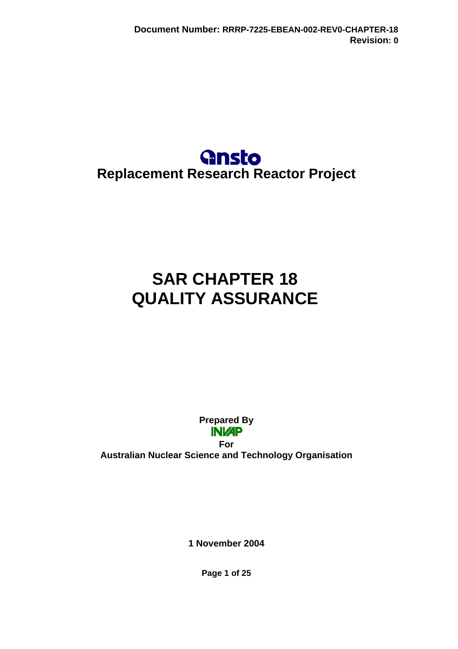

# **SAR CHAPTER 18 QUALITY ASSURANCE**

**Prepared By INI/AP** 

**For Australian Nuclear Science and Technology Organisation** 

**1 November 2004** 

**Page 1 of 25**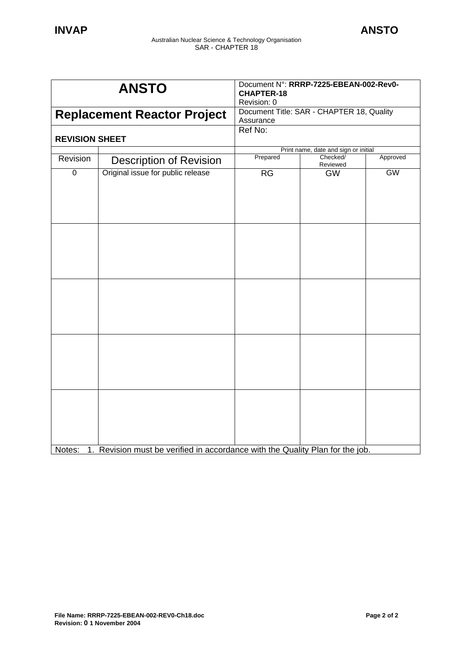| <b>ANSTO</b>                       |                                                                               | Document N°: RRRP-7225-EBEAN-002-Rev0-<br><b>CHAPTER-18</b><br>Revision: 0 |                                      |           |
|------------------------------------|-------------------------------------------------------------------------------|----------------------------------------------------------------------------|--------------------------------------|-----------|
| <b>Replacement Reactor Project</b> |                                                                               | Document Title: SAR - CHAPTER 18, Quality<br>Assurance                     |                                      |           |
| <b>REVISION SHEET</b>              |                                                                               | Ref No:                                                                    |                                      |           |
|                                    |                                                                               |                                                                            | Print name, date and sign or initial |           |
| Revision                           | <b>Description of Revision</b>                                                | Prepared                                                                   | Checked/<br>Reviewed                 | Approved  |
| $\overline{0}$                     | Original issue for public release                                             | <b>RG</b>                                                                  | <b>GW</b>                            | <b>GW</b> |
|                                    |                                                                               |                                                                            |                                      |           |
|                                    |                                                                               |                                                                            |                                      |           |
|                                    |                                                                               |                                                                            |                                      |           |
| Notes:                             | 1. Revision must be verified in accordance with the Quality Plan for the job. |                                                                            |                                      |           |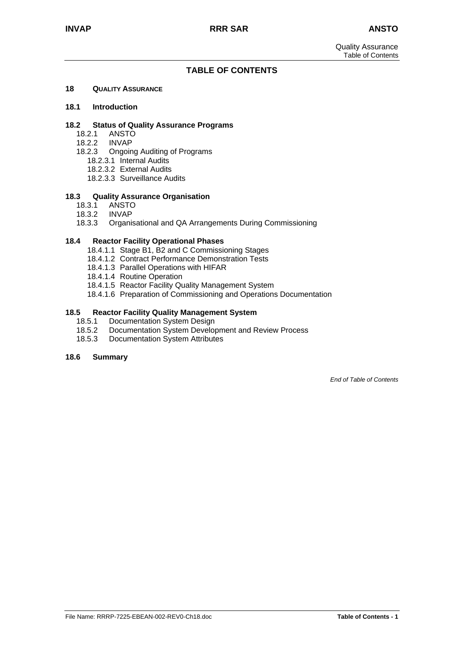## **TABLE OF CONTENTS**

### **18 QUALITY ASSURANCE**

### **18.1 Introduction**

### **18.2 Status of Quality Assurance Programs**

- 18.2.1 ANSTO
- 18.2.2 INVAP
- 18.2.3 Ongoing Auditing of Programs
	- 18.2.3.1 Internal Audits
	- 18.2.3.2 External Audits
	- 18.2.3.3 Surveillance Audits

### **18.3 Quality Assurance Organisation**

- 18.3.1 ANSTO
- 18.3.2 INVAP
- 18.3.3 Organisational and QA Arrangements During Commissioning

### **18.4 Reactor Facility Operational Phases**

- 18.4.1.1 Stage B1, B2 and C Commissioning Stages
- 18.4.1.2 Contract Performance Demonstration Tests
- 18.4.1.3 Parallel Operations with HIFAR
- 18.4.1.4 Routine Operation
- 18.4.1.5 Reactor Facility Quality Management System
- 18.4.1.6 Preparation of Commissioning and Operations Documentation

### **18.5 Reactor Facility Quality Management System**

- 18.5.1 Documentation System Design
- 18.5.2 Documentation System Development and Review Process
- 18.5.3 Documentation System Attributes

### **18.6 Summary**

*End of Table of Contents*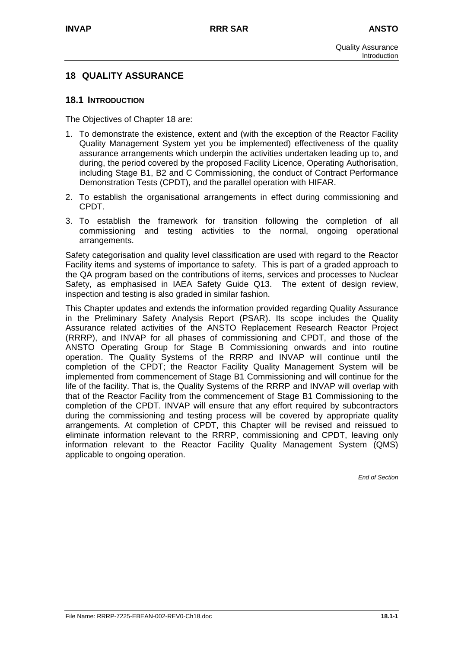# **18 QUALITY ASSURANCE**

### **18.1 INTRODUCTION**

The Objectives of Chapter 18 are:

- 1. To demonstrate the existence, extent and (with the exception of the Reactor Facility Quality Management System yet you be implemented) effectiveness of the quality assurance arrangements which underpin the activities undertaken leading up to, and during, the period covered by the proposed Facility Licence, Operating Authorisation, including Stage B1, B2 and C Commissioning, the conduct of Contract Performance Demonstration Tests (CPDT), and the parallel operation with HIFAR.
- 2. To establish the organisational arrangements in effect during commissioning and CPDT.
- 3. To establish the framework for transition following the completion of all commissioning and testing activities to the normal, ongoing operational arrangements.

Safety categorisation and quality level classification are used with regard to the Reactor Facility items and systems of importance to safety. This is part of a graded approach to the QA program based on the contributions of items, services and processes to Nuclear Safety, as emphasised in IAEA Safety Guide Q13. The extent of design review, inspection and testing is also graded in similar fashion.

This Chapter updates and extends the information provided regarding Quality Assurance in the Preliminary Safety Analysis Report (PSAR). Its scope includes the Quality Assurance related activities of the ANSTO Replacement Research Reactor Project (RRRP), and INVAP for all phases of commissioning and CPDT, and those of the ANSTO Operating Group for Stage B Commissioning onwards and into routine operation. The Quality Systems of the RRRP and INVAP will continue until the completion of the CPDT; the Reactor Facility Quality Management System will be implemented from commencement of Stage B1 Commissioning and will continue for the life of the facility. That is, the Quality Systems of the RRRP and INVAP will overlap with that of the Reactor Facility from the commencement of Stage B1 Commissioning to the completion of the CPDT. INVAP will ensure that any effort required by subcontractors during the commissioning and testing process will be covered by appropriate quality arrangements. At completion of CPDT, this Chapter will be revised and reissued to eliminate information relevant to the RRRP, commissioning and CPDT, leaving only information relevant to the Reactor Facility Quality Management System (QMS) applicable to ongoing operation.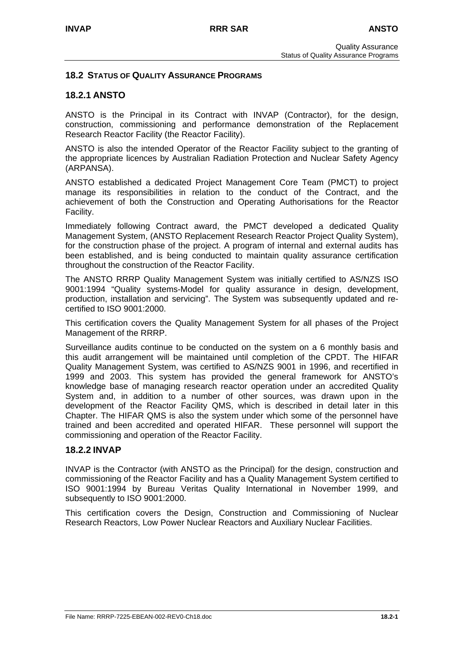## **18.2 STATUS OF QUALITY ASSURANCE PROGRAMS**

# **18.2.1 ANSTO**

ANSTO is the Principal in its Contract with INVAP (Contractor), for the design, construction, commissioning and performance demonstration of the Replacement Research Reactor Facility (the Reactor Facility).

ANSTO is also the intended Operator of the Reactor Facility subject to the granting of the appropriate licences by Australian Radiation Protection and Nuclear Safety Agency (ARPANSA).

ANSTO established a dedicated Project Management Core Team (PMCT) to project manage its responsibilities in relation to the conduct of the Contract, and the achievement of both the Construction and Operating Authorisations for the Reactor Facility.

Immediately following Contract award, the PMCT developed a dedicated Quality Management System, (ANSTO Replacement Research Reactor Project Quality System), for the construction phase of the project. A program of internal and external audits has been established, and is being conducted to maintain quality assurance certification throughout the construction of the Reactor Facility.

The ANSTO RRRP Quality Management System was initially certified to AS/NZS ISO 9001:1994 "Quality systems-Model for quality assurance in design, development, production, installation and servicing". The System was subsequently updated and recertified to ISO 9001:2000.

This certification covers the Quality Management System for all phases of the Project Management of the RRRP.

Surveillance audits continue to be conducted on the system on a 6 monthly basis and this audit arrangement will be maintained until completion of the CPDT. The HIFAR Quality Management System, was certified to AS/NZS 9001 in 1996, and recertified in 1999 and 2003. This system has provided the general framework for ANSTO's knowledge base of managing research reactor operation under an accredited Quality System and, in addition to a number of other sources, was drawn upon in the development of the Reactor Facility QMS, which is described in detail later in this Chapter. The HIFAR QMS is also the system under which some of the personnel have trained and been accredited and operated HIFAR. These personnel will support the commissioning and operation of the Reactor Facility.

### **18.2.2 INVAP**

INVAP is the Contractor (with ANSTO as the Principal) for the design, construction and commissioning of the Reactor Facility and has a Quality Management System certified to ISO 9001:1994 by Bureau Veritas Quality International in November 1999, and subsequently to ISO 9001:2000.

This certification covers the Design, Construction and Commissioning of Nuclear Research Reactors, Low Power Nuclear Reactors and Auxiliary Nuclear Facilities.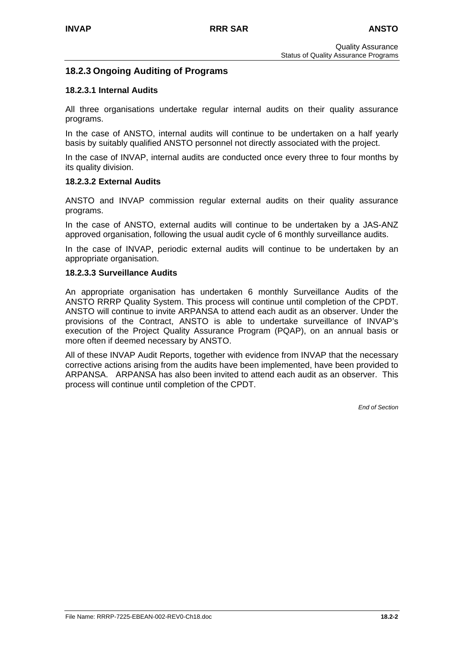# **18.2.3 Ongoing Auditing of Programs**

### **18.2.3.1 Internal Audits**

All three organisations undertake regular internal audits on their quality assurance programs.

In the case of ANSTO, internal audits will continue to be undertaken on a half yearly basis by suitably qualified ANSTO personnel not directly associated with the project.

In the case of INVAP, internal audits are conducted once every three to four months by its quality division.

### **18.2.3.2 External Audits**

ANSTO and INVAP commission regular external audits on their quality assurance programs.

In the case of ANSTO, external audits will continue to be undertaken by a JAS-ANZ approved organisation, following the usual audit cycle of 6 monthly surveillance audits.

In the case of INVAP, periodic external audits will continue to be undertaken by an appropriate organisation.

### **18.2.3.3 Surveillance Audits**

An appropriate organisation has undertaken 6 monthly Surveillance Audits of the ANSTO RRRP Quality System. This process will continue until completion of the CPDT. ANSTO will continue to invite ARPANSA to attend each audit as an observer. Under the provisions of the Contract, ANSTO is able to undertake surveillance of INVAP's execution of the Project Quality Assurance Program (PQAP), on an annual basis or more often if deemed necessary by ANSTO.

All of these INVAP Audit Reports, together with evidence from INVAP that the necessary corrective actions arising from the audits have been implemented, have been provided to ARPANSA. ARPANSA has also been invited to attend each audit as an observer. This process will continue until completion of the CPDT.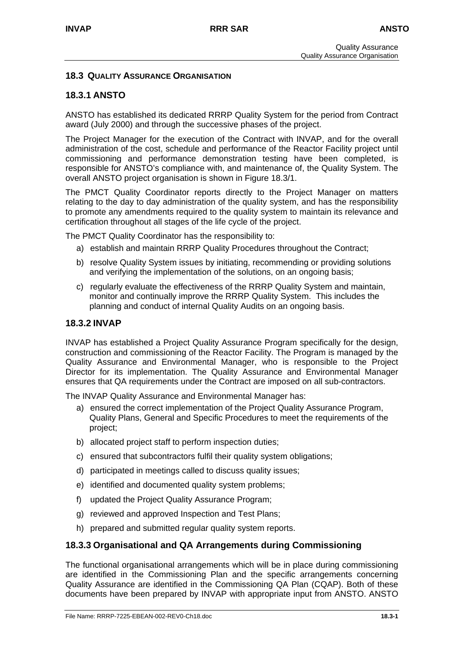# **18.3 QUALITY ASSURANCE ORGANISATION**

# **18.3.1 ANSTO**

ANSTO has established its dedicated RRRP Quality System for the period from Contract award (July 2000) and through the successive phases of the project.

The Project Manager for the execution of the Contract with INVAP, and for the overall administration of the cost, schedule and performance of the Reactor Facility project until commissioning and performance demonstration testing have been completed, is responsible for ANSTO's compliance with, and maintenance of, the Quality System. The overall ANSTO project organisation is shown in Figure 18.3/1.

The PMCT Quality Coordinator reports directly to the Project Manager on matters relating to the day to day administration of the quality system, and has the responsibility to promote any amendments required to the quality system to maintain its relevance and certification throughout all stages of the life cycle of the project.

The PMCT Quality Coordinator has the responsibility to:

- a) establish and maintain RRRP Quality Procedures throughout the Contract;
- b) resolve Quality System issues by initiating, recommending or providing solutions and verifying the implementation of the solutions, on an ongoing basis;
- c) regularly evaluate the effectiveness of the RRRP Quality System and maintain, monitor and continually improve the RRRP Quality System. This includes the planning and conduct of internal Quality Audits on an ongoing basis.

# **18.3.2 INVAP**

INVAP has established a Project Quality Assurance Program specifically for the design, construction and commissioning of the Reactor Facility. The Program is managed by the Quality Assurance and Environmental Manager, who is responsible to the Project Director for its implementation. The Quality Assurance and Environmental Manager ensures that QA requirements under the Contract are imposed on all sub-contractors.

The INVAP Quality Assurance and Environmental Manager has:

- a) ensured the correct implementation of the Project Quality Assurance Program, Quality Plans, General and Specific Procedures to meet the requirements of the project;
- b) allocated project staff to perform inspection duties;
- c) ensured that subcontractors fulfil their quality system obligations;
- d) participated in meetings called to discuss quality issues;
- e) identified and documented quality system problems;
- f) updated the Project Quality Assurance Program;
- g) reviewed and approved Inspection and Test Plans;
- h) prepared and submitted regular quality system reports.

### **18.3.3 Organisational and QA Arrangements during Commissioning**

The functional organisational arrangements which will be in place during commissioning are identified in the Commissioning Plan and the specific arrangements concerning Quality Assurance are identified in the Commissioning QA Plan (CQAP). Both of these documents have been prepared by INVAP with appropriate input from ANSTO. ANSTO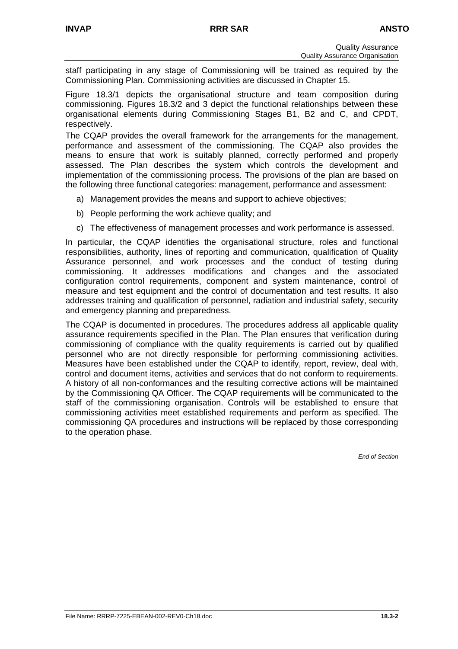staff participating in any stage of Commissioning will be trained as required by the Commissioning Plan. Commissioning activities are discussed in Chapter 15.

Figure 18.3/1 depicts the organisational structure and team composition during commissioning. Figures 18.3/2 and 3 depict the functional relationships between these organisational elements during Commissioning Stages B1, B2 and C, and CPDT, respectively.

The CQAP provides the overall framework for the arrangements for the management, performance and assessment of the commissioning. The CQAP also provides the means to ensure that work is suitably planned, correctly performed and properly assessed. The Plan describes the system which controls the development and implementation of the commissioning process. The provisions of the plan are based on the following three functional categories: management, performance and assessment:

- a) Management provides the means and support to achieve objectives;
- b) People performing the work achieve quality; and
- c) The effectiveness of management processes and work performance is assessed.

In particular, the CQAP identifies the organisational structure, roles and functional responsibilities, authority, lines of reporting and communication, qualification of Quality Assurance personnel, and work processes and the conduct of testing during commissioning. It addresses modifications and changes and the associated configuration control requirements, component and system maintenance, control of measure and test equipment and the control of documentation and test results. It also addresses training and qualification of personnel, radiation and industrial safety, security and emergency planning and preparedness.

The CQAP is documented in procedures. The procedures address all applicable quality assurance requirements specified in the Plan. The Plan ensures that verification during commissioning of compliance with the quality requirements is carried out by qualified personnel who are not directly responsible for performing commissioning activities. Measures have been established under the CQAP to identify, report, review, deal with, control and document items, activities and services that do not conform to requirements. A history of all non-conformances and the resulting corrective actions will be maintained by the Commissioning QA Officer. The CQAP requirements will be communicated to the staff of the commissioning organisation. Controls will be established to ensure that commissioning activities meet established requirements and perform as specified. The commissioning QA procedures and instructions will be replaced by those corresponding to the operation phase.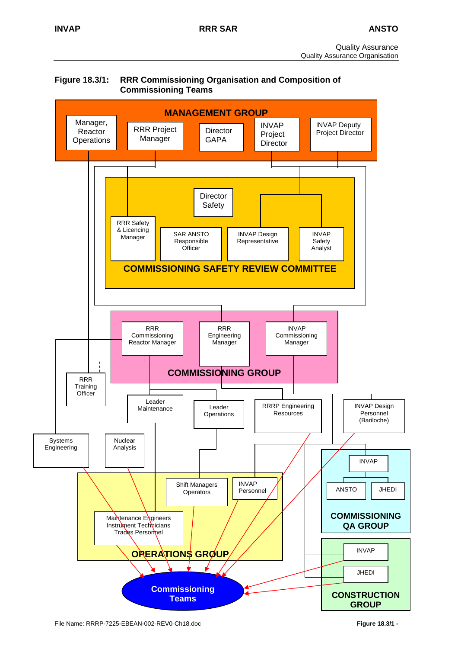



File Name: RRRP-7225-EBEAN-002-REV0-Ch18.doc **Figure 18.3/1 -**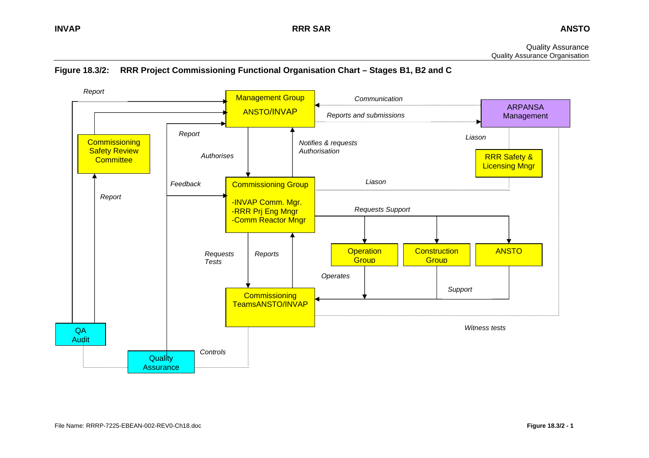Quality Assurance Quality Assurance Organisation

# **Figure 18.3/2: RRR Project Commissioning Functional Organisation Chart – Stages B1, B2 and C**

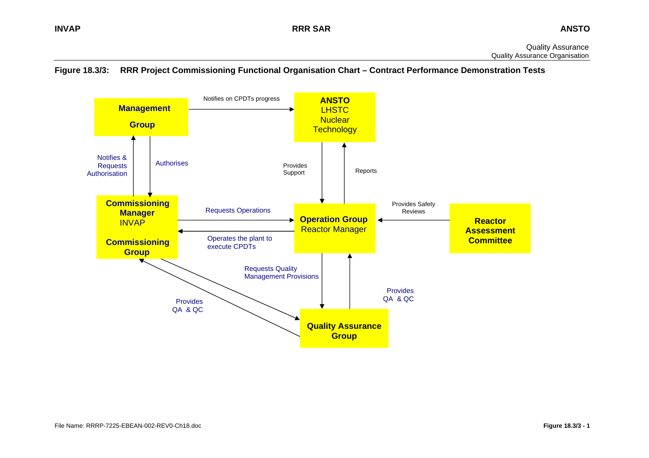

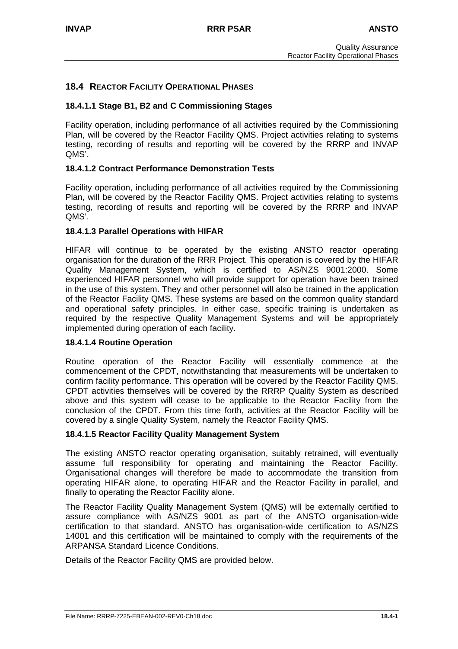# **18.4 REACTOR FACILITY OPERATIONAL PHASES**

### **18.4.1.1 Stage B1, B2 and C Commissioning Stages**

Facility operation, including performance of all activities required by the Commissioning Plan, will be covered by the Reactor Facility QMS. Project activities relating to systems testing, recording of results and reporting will be covered by the RRRP and INVAP QMS'.

### **18.4.1.2 Contract Performance Demonstration Tests**

Facility operation, including performance of all activities required by the Commissioning Plan, will be covered by the Reactor Facility QMS. Project activities relating to systems testing, recording of results and reporting will be covered by the RRRP and INVAP QMS'.

### **18.4.1.3 Parallel Operations with HIFAR**

HIFAR will continue to be operated by the existing ANSTO reactor operating organisation for the duration of the RRR Project. This operation is covered by the HIFAR Quality Management System, which is certified to AS/NZS 9001:2000. Some experienced HIFAR personnel who will provide support for operation have been trained in the use of this system. They and other personnel will also be trained in the application of the Reactor Facility QMS. These systems are based on the common quality standard and operational safety principles. In either case, specific training is undertaken as required by the respective Quality Management Systems and will be appropriately implemented during operation of each facility.

### **18.4.1.4 Routine Operation**

Routine operation of the Reactor Facility will essentially commence at the commencement of the CPDT, notwithstanding that measurements will be undertaken to confirm facility performance. This operation will be covered by the Reactor Facility QMS. CPDT activities themselves will be covered by the RRRP Quality System as described above and this system will cease to be applicable to the Reactor Facility from the conclusion of the CPDT. From this time forth, activities at the Reactor Facility will be covered by a single Quality System, namely the Reactor Facility QMS.

### **18.4.1.5 Reactor Facility Quality Management System**

The existing ANSTO reactor operating organisation, suitably retrained, will eventually assume full responsibility for operating and maintaining the Reactor Facility. Organisational changes will therefore be made to accommodate the transition from operating HIFAR alone, to operating HIFAR and the Reactor Facility in parallel, and finally to operating the Reactor Facility alone.

The Reactor Facility Quality Management System (QMS) will be externally certified to assure compliance with AS/NZS 9001 as part of the ANSTO organisation-wide certification to that standard. ANSTO has organisation-wide certification to AS/NZS 14001 and this certification will be maintained to comply with the requirements of the ARPANSA Standard Licence Conditions.

Details of the Reactor Facility QMS are provided below.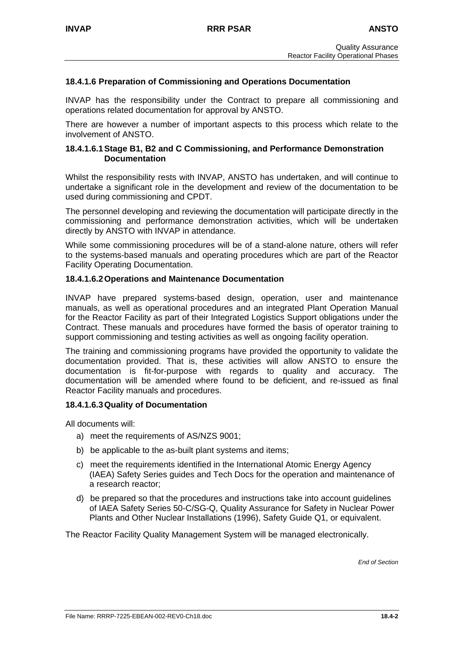## **18.4.1.6 Preparation of Commissioning and Operations Documentation**

INVAP has the responsibility under the Contract to prepare all commissioning and operations related documentation for approval by ANSTO.

There are however a number of important aspects to this process which relate to the involvement of ANSTO.

### **18.4.1.6.1 Stage B1, B2 and C Commissioning, and Performance Demonstration Documentation**

Whilst the responsibility rests with INVAP, ANSTO has undertaken, and will continue to undertake a significant role in the development and review of the documentation to be used during commissioning and CPDT.

The personnel developing and reviewing the documentation will participate directly in the commissioning and performance demonstration activities, which will be undertaken directly by ANSTO with INVAP in attendance.

While some commissioning procedures will be of a stand-alone nature, others will refer to the systems-based manuals and operating procedures which are part of the Reactor Facility Operating Documentation.

### **18.4.1.6.2 Operations and Maintenance Documentation**

INVAP have prepared systems-based design, operation, user and maintenance manuals, as well as operational procedures and an integrated Plant Operation Manual for the Reactor Facility as part of their Integrated Logistics Support obligations under the Contract. These manuals and procedures have formed the basis of operator training to support commissioning and testing activities as well as ongoing facility operation.

The training and commissioning programs have provided the opportunity to validate the documentation provided. That is, these activities will allow ANSTO to ensure the documentation is fit-for-purpose with regards to quality and accuracy. The documentation will be amended where found to be deficient, and re-issued as final Reactor Facility manuals and procedures.

### **18.4.1.6.3 Quality of Documentation**

All documents will:

- a) meet the requirements of AS/NZS 9001;
- b) be applicable to the as-built plant systems and items;
- c) meet the requirements identified in the International Atomic Energy Agency (IAEA) Safety Series guides and Tech Docs for the operation and maintenance of a research reactor;
- d) be prepared so that the procedures and instructions take into account guidelines of IAEA Safety Series 50-C/SG-Q, Quality Assurance for Safety in Nuclear Power Plants and Other Nuclear Installations (1996), Safety Guide Q1, or equivalent.

The Reactor Facility Quality Management System will be managed electronically.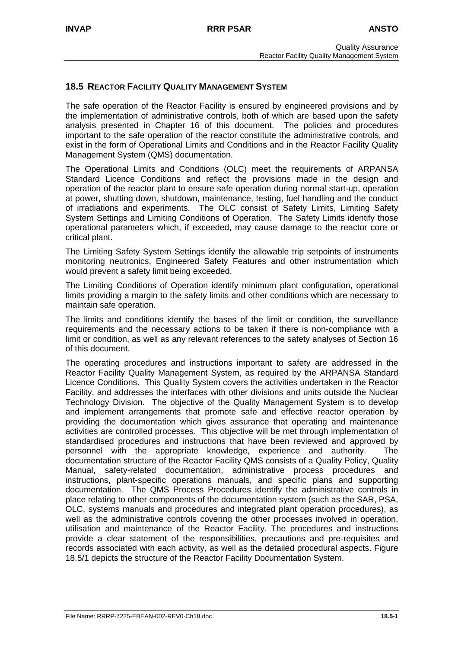# **18.5 REACTOR FACILITY QUALITY MANAGEMENT SYSTEM**

The safe operation of the Reactor Facility is ensured by engineered provisions and by the implementation of administrative controls, both of which are based upon the safety analysis presented in Chapter 16 of this document. The policies and procedures important to the safe operation of the reactor constitute the administrative controls, and exist in the form of Operational Limits and Conditions and in the Reactor Facility Quality Management System (QMS) documentation.

The Operational Limits and Conditions (OLC) meet the requirements of ARPANSA Standard Licence Conditions and reflect the provisions made in the design and operation of the reactor plant to ensure safe operation during normal start-up, operation at power, shutting down, shutdown, maintenance, testing, fuel handling and the conduct of irradiations and experiments. The OLC consist of Safety Limits, Limiting Safety System Settings and Limiting Conditions of Operation. The Safety Limits identify those operational parameters which, if exceeded, may cause damage to the reactor core or critical plant.

The Limiting Safety System Settings identify the allowable trip setpoints of instruments monitoring neutronics, Engineered Safety Features and other instrumentation which would prevent a safety limit being exceeded.

The Limiting Conditions of Operation identify minimum plant configuration, operational limits providing a margin to the safety limits and other conditions which are necessary to maintain safe operation.

The limits and conditions identify the bases of the limit or condition, the surveillance requirements and the necessary actions to be taken if there is non-compliance with a limit or condition, as well as any relevant references to the safety analyses of Section 16 of this document.

The operating procedures and instructions important to safety are addressed in the Reactor Facility Quality Management System, as required by the ARPANSA Standard Licence Conditions. This Quality System covers the activities undertaken in the Reactor Facility, and addresses the interfaces with other divisions and units outside the Nuclear Technology Division. The objective of the Quality Management System is to develop and implement arrangements that promote safe and effective reactor operation by providing the documentation which gives assurance that operating and maintenance activities are controlled processes. This objective will be met through implementation of standardised procedures and instructions that have been reviewed and approved by personnel with the appropriate knowledge, experience and authority. The documentation structure of the Reactor Facility QMS consists of a Quality Policy, Quality Manual, safety-related documentation, administrative process procedures and instructions, plant-specific operations manuals, and specific plans and supporting documentation. The QMS Process Procedures identify the administrative controls in place relating to other components of the documentation system (such as the SAR, PSA, OLC, systems manuals and procedures and integrated plant operation procedures), as well as the administrative controls covering the other processes involved in operation, utilisation and maintenance of the Reactor Facility. The procedures and instructions provide a clear statement of the responsibilities, precautions and pre-requisites and records associated with each activity, as well as the detailed procedural aspects. Figure 18.5/1 depicts the structure of the Reactor Facility Documentation System.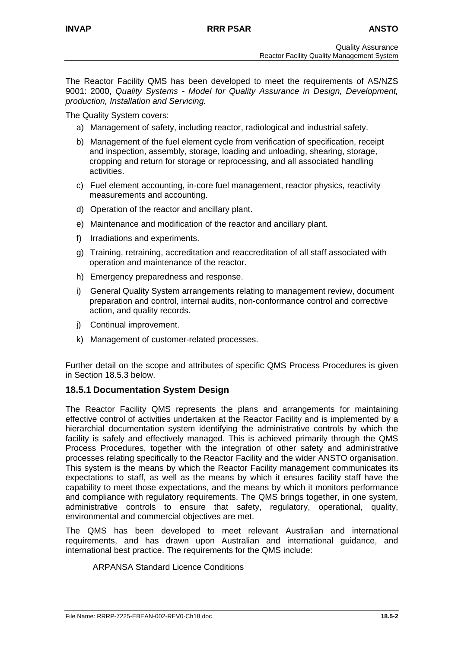The Reactor Facility QMS has been developed to meet the requirements of AS/NZS 9001: 2000, *Quality Systems - Model for Quality Assurance in Design, Development, production, Installation and Servicing.*

The Quality System covers:

- a) Management of safety, including reactor, radiological and industrial safety.
- b) Management of the fuel element cycle from verification of specification, receipt and inspection, assembly, storage, loading and unloading, shearing, storage, cropping and return for storage or reprocessing, and all associated handling activities.
- c) Fuel element accounting, in-core fuel management, reactor physics, reactivity measurements and accounting.
- d) Operation of the reactor and ancillary plant.
- e) Maintenance and modification of the reactor and ancillary plant.
- f) Irradiations and experiments.
- g) Training, retraining, accreditation and reaccreditation of all staff associated with operation and maintenance of the reactor.
- h) Emergency preparedness and response.
- i) General Quality System arrangements relating to management review, document preparation and control, internal audits, non-conformance control and corrective action, and quality records.
- j) Continual improvement.
- k) Management of customer-related processes.

Further detail on the scope and attributes of specific QMS Process Procedures is given in Section 18.5.3 below.

# **18.5.1 Documentation System Design**

The Reactor Facility QMS represents the plans and arrangements for maintaining effective control of activities undertaken at the Reactor Facility and is implemented by a hierarchial documentation system identifying the administrative controls by which the facility is safely and effectively managed. This is achieved primarily through the QMS Process Procedures, together with the integration of other safety and administrative processes relating specifically to the Reactor Facility and the wider ANSTO organisation. This system is the means by which the Reactor Facility management communicates its expectations to staff, as well as the means by which it ensures facility staff have the capability to meet those expectations, and the means by which it monitors performance and compliance with regulatory requirements. The QMS brings together, in one system, administrative controls to ensure that safety, regulatory, operational, quality, environmental and commercial objectives are met.

The QMS has been developed to meet relevant Australian and international requirements, and has drawn upon Australian and international guidance, and international best practice. The requirements for the QMS include:

### ARPANSA Standard Licence Conditions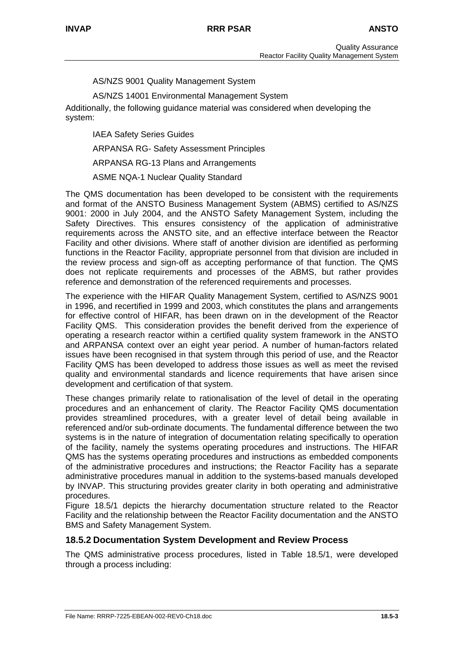AS/NZS 9001 Quality Management System

AS/NZS 14001 Environmental Management System

Additionally, the following guidance material was considered when developing the system:

IAEA Safety Series Guides

ARPANSA RG- Safety Assessment Principles

ARPANSA RG-13 Plans and Arrangements

ASME NQA-1 Nuclear Quality Standard

The QMS documentation has been developed to be consistent with the requirements and format of the ANSTO Business Management System (ABMS) certified to AS/NZS 9001: 2000 in July 2004, and the ANSTO Safety Management System, including the Safety Directives. This ensures consistency of the application of administrative requirements across the ANSTO site, and an effective interface between the Reactor Facility and other divisions. Where staff of another division are identified as performing functions in the Reactor Facility, appropriate personnel from that division are included in the review process and sign-off as accepting performance of that function. The QMS does not replicate requirements and processes of the ABMS, but rather provides reference and demonstration of the referenced requirements and processes.

The experience with the HIFAR Quality Management System, certified to AS/NZS 9001 in 1996, and recertified in 1999 and 2003, which constitutes the plans and arrangements for effective control of HIFAR, has been drawn on in the development of the Reactor Facility QMS. This consideration provides the benefit derived from the experience of operating a research reactor within a certified quality system framework in the ANSTO and ARPANSA context over an eight year period. A number of human-factors related issues have been recognised in that system through this period of use, and the Reactor Facility QMS has been developed to address those issues as well as meet the revised quality and environmental standards and licence requirements that have arisen since development and certification of that system.

These changes primarily relate to rationalisation of the level of detail in the operating procedures and an enhancement of clarity. The Reactor Facility QMS documentation provides streamlined procedures, with a greater level of detail being available in referenced and/or sub-ordinate documents. The fundamental difference between the two systems is in the nature of integration of documentation relating specifically to operation of the facility, namely the systems operating procedures and instructions. The HIFAR QMS has the systems operating procedures and instructions as embedded components of the administrative procedures and instructions; the Reactor Facility has a separate administrative procedures manual in addition to the systems-based manuals developed by INVAP. This structuring provides greater clarity in both operating and administrative procedures.

Figure 18.5/1 depicts the hierarchy documentation structure related to the Reactor Facility and the relationship between the Reactor Facility documentation and the ANSTO BMS and Safety Management System.

# **18.5.2 Documentation System Development and Review Process**

The QMS administrative process procedures, listed in Table 18.5/1, were developed through a process including: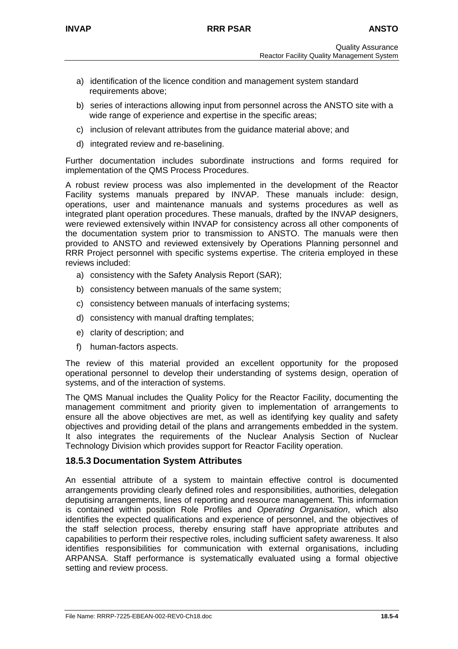- a) identification of the licence condition and management system standard requirements above:
- b) series of interactions allowing input from personnel across the ANSTO site with a wide range of experience and expertise in the specific areas;
- c) inclusion of relevant attributes from the guidance material above; and
- d) integrated review and re-baselining.

Further documentation includes subordinate instructions and forms required for implementation of the QMS Process Procedures.

A robust review process was also implemented in the development of the Reactor Facility systems manuals prepared by INVAP. These manuals include: design, operations, user and maintenance manuals and systems procedures as well as integrated plant operation procedures. These manuals, drafted by the INVAP designers, were reviewed extensively within INVAP for consistency across all other components of the documentation system prior to transmission to ANSTO. The manuals were then provided to ANSTO and reviewed extensively by Operations Planning personnel and RRR Project personnel with specific systems expertise. The criteria employed in these reviews included:

- a) consistency with the Safety Analysis Report (SAR);
- b) consistency between manuals of the same system;
- c) consistency between manuals of interfacing systems;
- d) consistency with manual drafting templates;
- e) clarity of description; and
- f) human-factors aspects.

The review of this material provided an excellent opportunity for the proposed operational personnel to develop their understanding of systems design, operation of systems, and of the interaction of systems.

The QMS Manual includes the Quality Policy for the Reactor Facility, documenting the management commitment and priority given to implementation of arrangements to ensure all the above objectives are met, as well as identifying key quality and safety objectives and providing detail of the plans and arrangements embedded in the system. It also integrates the requirements of the Nuclear Analysis Section of Nuclear Technology Division which provides support for Reactor Facility operation.

# **18.5.3 Documentation System Attributes**

An essential attribute of a system to maintain effective control is documented arrangements providing clearly defined roles and responsibilities, authorities, delegation deputising arrangements, lines of reporting and resource management. This information is contained within position Role Profiles and *Operating Organisation*, which also identifies the expected qualifications and experience of personnel, and the objectives of the staff selection process, thereby ensuring staff have appropriate attributes and capabilities to perform their respective roles, including sufficient safety awareness. It also identifies responsibilities for communication with external organisations, including ARPANSA. Staff performance is systematically evaluated using a formal objective setting and review process.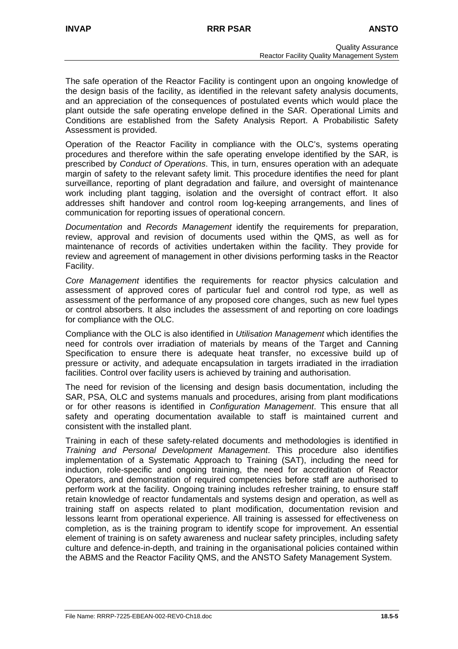The safe operation of the Reactor Facility is contingent upon an ongoing knowledge of the design basis of the facility, as identified in the relevant safety analysis documents, and an appreciation of the consequences of postulated events which would place the plant outside the safe operating envelope defined in the SAR. Operational Limits and Conditions are established from the Safety Analysis Report. A Probabilistic Safety Assessment is provided.

Operation of the Reactor Facility in compliance with the OLC's, systems operating procedures and therefore within the safe operating envelope identified by the SAR, is prescribed by *Conduct of Operations*. This, in turn, ensures operation with an adequate margin of safety to the relevant safety limit. This procedure identifies the need for plant surveillance, reporting of plant degradation and failure, and oversight of maintenance work including plant tagging, isolation and the oversight of contract effort. It also addresses shift handover and control room log-keeping arrangements, and lines of communication for reporting issues of operational concern.

*Documentation* and *Records Management* identify the requirements for preparation, review, approval and revision of documents used within the QMS, as well as for maintenance of records of activities undertaken within the facility. They provide for review and agreement of management in other divisions performing tasks in the Reactor Facility.

*Core Management* identifies the requirements for reactor physics calculation and assessment of approved cores of particular fuel and control rod type, as well as assessment of the performance of any proposed core changes, such as new fuel types or control absorbers. It also includes the assessment of and reporting on core loadings for compliance with the OLC.

Compliance with the OLC is also identified in *Utilisation Management* which identifies the need for controls over irradiation of materials by means of the Target and Canning Specification to ensure there is adequate heat transfer, no excessive build up of pressure or activity, and adequate encapsulation in targets irradiated in the irradiation facilities. Control over facility users is achieved by training and authorisation.

The need for revision of the licensing and design basis documentation, including the SAR, PSA, OLC and systems manuals and procedures, arising from plant modifications or for other reasons is identified in *Configuration Management*. This ensure that all safety and operating documentation available to staff is maintained current and consistent with the installed plant.

Training in each of these safety-related documents and methodologies is identified in *Training and Personal Development Management*. This procedure also identifies implementation of a Systematic Approach to Training (SAT), including the need for induction, role-specific and ongoing training, the need for accreditation of Reactor Operators, and demonstration of required competencies before staff are authorised to perform work at the facility. Ongoing training includes refresher training, to ensure staff retain knowledge of reactor fundamentals and systems design and operation, as well as training staff on aspects related to plant modification, documentation revision and lessons learnt from operational experience. All training is assessed for effectiveness on completion, as is the training program to identify scope for improvement. An essential element of training is on safety awareness and nuclear safety principles, including safety culture and defence-in-depth, and training in the organisational policies contained within the ABMS and the Reactor Facility QMS, and the ANSTO Safety Management System.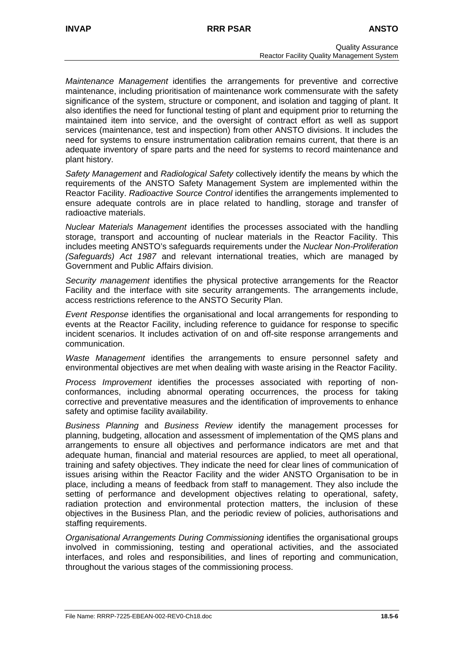*Maintenance Management* identifies the arrangements for preventive and corrective maintenance, including prioritisation of maintenance work commensurate with the safety significance of the system, structure or component, and isolation and tagging of plant. It also identifies the need for functional testing of plant and equipment prior to returning the maintained item into service, and the oversight of contract effort as well as support services (maintenance, test and inspection) from other ANSTO divisions. It includes the need for systems to ensure instrumentation calibration remains current, that there is an adequate inventory of spare parts and the need for systems to record maintenance and plant history.

*Safety Management* and *Radiological Safety* collectively identify the means by which the requirements of the ANSTO Safety Management System are implemented within the Reactor Facility. *Radioactive Source Control* identifies the arrangements implemented to ensure adequate controls are in place related to handling, storage and transfer of radioactive materials.

*Nuclear Materials Management* identifies the processes associated with the handling storage, transport and accounting of nuclear materials in the Reactor Facility. This includes meeting ANSTO's safeguards requirements under the *Nuclear Non-Proliferation (Safeguards) Act 1987* and relevant international treaties, which are managed by Government and Public Affairs division.

*Security management* identifies the physical protective arrangements for the Reactor Facility and the interface with site security arrangements. The arrangements include, access restrictions reference to the ANSTO Security Plan.

*Event Response* identifies the organisational and local arrangements for responding to events at the Reactor Facility, including reference to guidance for response to specific incident scenarios. It includes activation of on and off-site response arrangements and communication.

*Waste Management* identifies the arrangements to ensure personnel safety and environmental objectives are met when dealing with waste arising in the Reactor Facility.

*Process Improvement* identifies the processes associated with reporting of nonconformances, including abnormal operating occurrences, the process for taking corrective and preventative measures and the identification of improvements to enhance safety and optimise facility availability.

*Business Planning* and *Business Review* identify the management processes for planning, budgeting, allocation and assessment of implementation of the QMS plans and arrangements to ensure all objectives and performance indicators are met and that adequate human, financial and material resources are applied, to meet all operational, training and safety objectives. They indicate the need for clear lines of communication of issues arising within the Reactor Facility and the wider ANSTO Organisation to be in place, including a means of feedback from staff to management. They also include the setting of performance and development objectives relating to operational, safety, radiation protection and environmental protection matters, the inclusion of these objectives in the Business Plan, and the periodic review of policies, authorisations and staffing requirements.

*Organisational Arrangements During Commissioning* identifies the organisational groups involved in commissioning, testing and operational activities, and the associated interfaces, and roles and responsibilities, and lines of reporting and communication, throughout the various stages of the commissioning process.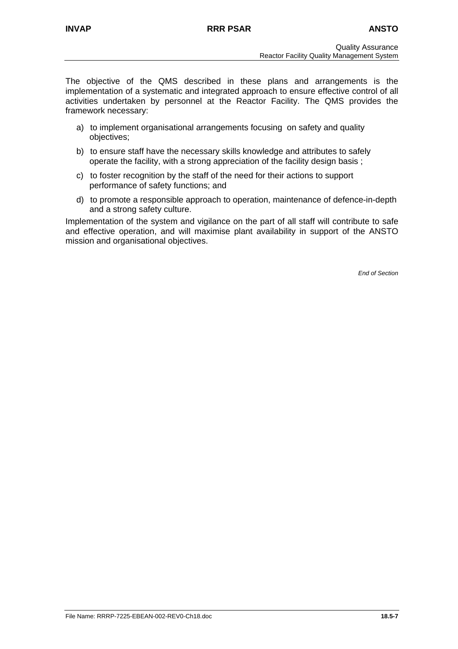The objective of the QMS described in these plans and arrangements is the implementation of a systematic and integrated approach to ensure effective control of all activities undertaken by personnel at the Reactor Facility. The QMS provides the framework necessary:

- a) to implement organisational arrangements focusing on safety and quality objectives;
- b) to ensure staff have the necessary skills knowledge and attributes to safely operate the facility, with a strong appreciation of the facility design basis ;
- c) to foster recognition by the staff of the need for their actions to support performance of safety functions; and
- d) to promote a responsible approach to operation, maintenance of defence-in-depth and a strong safety culture.

Implementation of the system and vigilance on the part of all staff will contribute to safe and effective operation, and will maximise plant availability in support of the ANSTO mission and organisational objectives.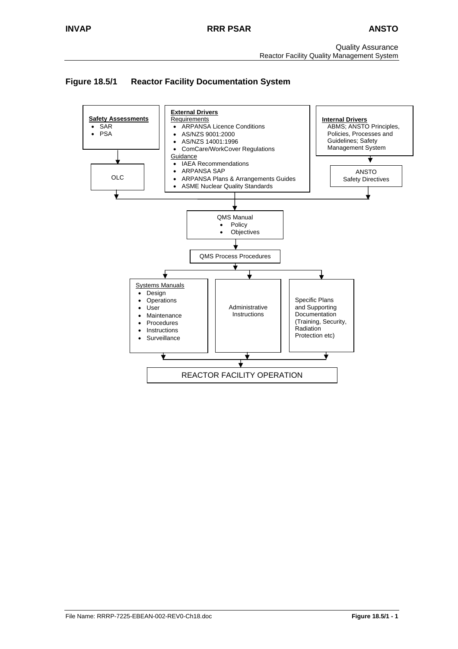Quality Assurance Reactor Facility Quality Management System

# **Figure 18.5/1 Reactor Facility Documentation System**

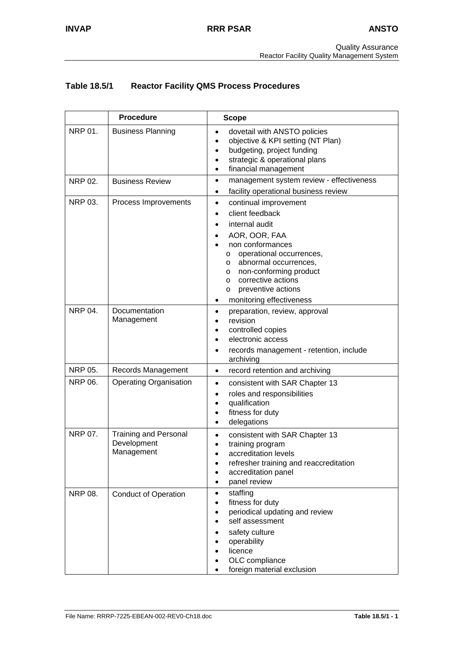# **Table 18.5/1 Reactor Facility QMS Process Procedures**

|                | <b>Procedure</b>                                          | <b>Scope</b>                                                                                                                                                                                                                                                                                                                     |
|----------------|-----------------------------------------------------------|----------------------------------------------------------------------------------------------------------------------------------------------------------------------------------------------------------------------------------------------------------------------------------------------------------------------------------|
| NRP 01.        | <b>Business Planning</b>                                  | dovetail with ANSTO policies<br>$\bullet$<br>objective & KPI setting (NT Plan)<br>$\bullet$<br>budgeting, project funding<br>$\bullet$<br>strategic & operational plans<br>financial management<br>$\bullet$                                                                                                                     |
| <b>NRP 02.</b> | <b>Business Review</b>                                    | management system review - effectiveness<br>$\bullet$<br>facility operational business review<br>$\bullet$                                                                                                                                                                                                                       |
| <b>NRP 03.</b> | Process Improvements                                      | continual improvement<br>$\bullet$<br>client feedback<br>$\bullet$<br>internal audit<br>AOR, OOR, FAA<br>non conformances<br>operational occurrences,<br>O<br>abnormal occurrences,<br>$\circ$<br>non-conforming product<br>$\circ$<br>corrective actions<br>$\circ$<br>preventive actions<br>O<br>monitoring effectiveness<br>٠ |
| <b>NRP 04.</b> | Documentation<br>Management                               | preparation, review, approval<br>$\bullet$<br>revision<br>controlled copies<br>electronic access<br>records management - retention, include<br>archiving                                                                                                                                                                         |
| NRP 05.        | Records Management                                        | record retention and archiving<br>$\bullet$                                                                                                                                                                                                                                                                                      |
| NRP 06.        | <b>Operating Organisation</b>                             | consistent with SAR Chapter 13<br>$\bullet$<br>roles and responsibilities<br>$\bullet$<br>qualification<br>$\bullet$<br>fitness for duty<br>$\bullet$<br>delegations<br>$\bullet$                                                                                                                                                |
| NRP 07.        | <b>Training and Personal</b><br>Development<br>Management | consistent with SAR Chapter 13<br>$\bullet$<br>training program<br>accreditation levels<br>refresher training and reaccreditation<br>accreditation panel<br>panel review                                                                                                                                                         |
| <b>NRP 08.</b> | <b>Conduct of Operation</b>                               | staffing<br>$\bullet$<br>fitness for duty<br>$\bullet$<br>periodical updating and review<br>$\bullet$<br>self assessment<br>safety culture<br>operability<br>licence<br>OLC compliance<br>foreign material exclusion                                                                                                             |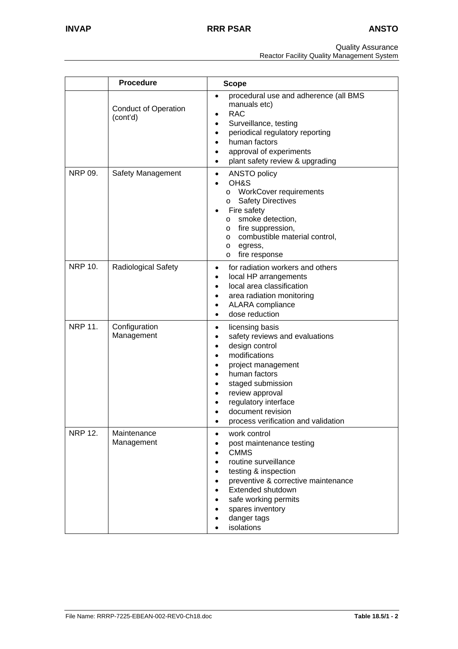Quality Assurance

Reactor Facility Quality Management System

|                | <b>Procedure</b>                        | <b>Scope</b>                                                                                                                                                                                                                                                                                                                  |
|----------------|-----------------------------------------|-------------------------------------------------------------------------------------------------------------------------------------------------------------------------------------------------------------------------------------------------------------------------------------------------------------------------------|
|                | <b>Conduct of Operation</b><br>(cont'd) | procedural use and adherence (all BMS<br>$\bullet$<br>manuals etc)<br><b>RAC</b><br>$\bullet$<br>Surveillance, testing<br>$\bullet$<br>periodical regulatory reporting<br>$\bullet$<br>human factors<br>$\bullet$<br>approval of experiments<br>$\bullet$<br>plant safety review & upgrading<br>$\bullet$                     |
| NRP 09.        | Safety Management                       | <b>ANSTO policy</b><br>$\bullet$<br>OH&S<br>$\bullet$<br>o WorkCover requirements<br><b>Safety Directives</b><br>$\circ$<br>Fire safety<br>smoke detection,<br>$\circ$<br>o fire suppression,<br>o combustible material control,<br>egress,<br>$\circ$<br>fire response<br>O                                                  |
| <b>NRP 10.</b> | <b>Radiological Safety</b>              | for radiation workers and others<br>$\bullet$<br>local HP arrangements<br>$\bullet$<br>local area classification<br>$\bullet$<br>area radiation monitoring<br>$\bullet$<br>ALARA compliance<br>$\bullet$<br>dose reduction                                                                                                    |
| <b>NRP 11.</b> | Configuration<br>Management             | licensing basis<br>$\bullet$<br>safety reviews and evaluations<br>٠<br>design control<br>$\bullet$<br>modifications<br>$\bullet$<br>project management<br>$\bullet$<br>human factors<br>$\bullet$<br>staged submission<br>review approval<br>regulatory interface<br>document revision<br>process verification and validation |
| <b>NRP 12.</b> | Maintenance<br>Management               | work control<br>post maintenance testing<br><b>CMMS</b><br>routine surveillance<br>testing & inspection<br>preventive & corrective maintenance<br>Extended shutdown<br>safe working permits<br>spares inventory<br>danger tags<br>isolations                                                                                  |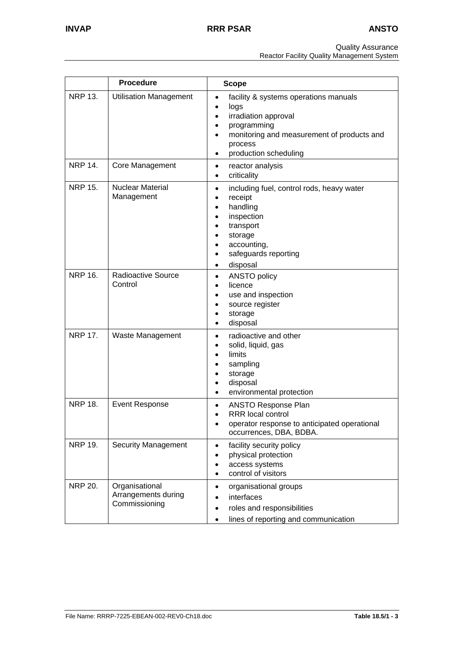Quality Assurance

Reactor Facility Quality Management System

|                | <b>Procedure</b>                                       | <b>Scope</b>                                                                                                                                                                                                                 |
|----------------|--------------------------------------------------------|------------------------------------------------------------------------------------------------------------------------------------------------------------------------------------------------------------------------------|
| <b>NRP 13.</b> | <b>Utilisation Management</b>                          | facility & systems operations manuals<br>$\bullet$<br>logs<br>irradiation approval<br>programming<br>monitoring and measurement of products and<br>process<br>production scheduling                                          |
| <b>NRP 14.</b> | <b>Core Management</b>                                 | reactor analysis<br>٠<br>criticality<br>$\bullet$                                                                                                                                                                            |
| <b>NRP 15.</b> | <b>Nuclear Material</b><br>Management                  | including fuel, control rods, heavy water<br>$\bullet$<br>receipt<br>$\bullet$<br>handling<br>$\bullet$<br>inspection<br>٠<br>transport<br>٠<br>storage<br>accounting,<br>safeguards reporting<br>٠<br>disposal<br>$\bullet$ |
| <b>NRP 16.</b> | Radioactive Source<br>Control                          | ANSTO policy<br>$\bullet$<br>licence<br>$\bullet$<br>use and inspection<br>$\bullet$<br>source register<br>$\bullet$<br>storage<br>$\bullet$<br>disposal<br>$\bullet$                                                        |
| <b>NRP 17.</b> | Waste Management                                       | radioactive and other<br>٠<br>solid, liquid, gas<br>$\bullet$<br>limits<br>$\bullet$<br>sampling<br>$\bullet$<br>storage<br>٠<br>disposal<br>$\bullet$<br>environmental protection<br>$\bullet$                              |
| <b>NRP 18.</b> | <b>Event Response</b>                                  | <b>ANSTO Response Plan</b><br>$\bullet$<br><b>RRR</b> local control<br>$\bullet$<br>operator response to anticipated operational<br>occurrences, DBA, BDBA.                                                                  |
| <b>NRP 19.</b> | <b>Security Management</b>                             | facility security policy<br>$\bullet$<br>physical protection<br>٠<br>access systems<br>$\bullet$<br>control of visitors<br>$\bullet$                                                                                         |
| <b>NRP 20.</b> | Organisational<br>Arrangements during<br>Commissioning | organisational groups<br>$\bullet$<br>interfaces<br>roles and responsibilities<br>$\bullet$<br>lines of reporting and communication<br>$\bullet$                                                                             |